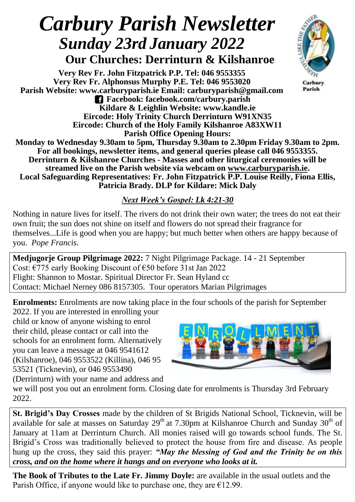## *Carbury Parish Newsletter Sunday 23rd January 2022*

 **Our Churches: Derrinturn & Kilshanroe**

**Very Rev Fr. John Fitzpatrick P.P. Tel: 046 9553355 Very Rev Fr. Alphonsus Murphy P.E. Tel: 046 9553020 Parish Website: www.carburyparish.ie Email: carburyparish@gmail.com Facebook: facebook.com/carbury.parish Kildare & Leighlin Website: www.kandle.ie Eircode: Holy Trinity Church Derrinturn W91XN35 Eircode: Church of the Holy Family Kilshanroe A83XW11 Parish Office Opening Hours:**



Carbury Parish

**Monday to Wednesday 9.30am to 5pm, Thursday 9.30am to 2.30pm Friday 9.30am to 2pm. For all bookings, newsletter items, and general queries please call 046 9553355. Derrinturn & Kilshanroe Churches - Masses and other liturgical ceremonies will be streamed live on the Parish website via webcam on [www.carburyparish.ie.](http://www.carburyparish.ie/) Local Safeguarding Representatives: Fr. John Fitzpatrick P.P. Louise Reilly, Fiona Ellis, Patricia Brady. DLP for Kildare: Mick Daly**

## *Next Week's Gospel: Lk 4:21-30*

Nothing in nature lives for itself. The rivers do not drink their own water; the trees do not eat their own fruit; the sun does not shine on itself and flowers do not spread their fragrance for themselves...Life is good when you are happy; but much better when others are happy because of you. *Pope Francis.*

**Medjugorje Group Pilgrimage 2022:** 7 Night Pilgrimage Package. 14 - 21 September Cost: €775 early Booking Discount of €50 before 31st Jan 2022 Flight: Shannon to Mostar. Spiritual Director Fr. Sean Hyland cc Contact: Michael Nerney 086 8157305. Tour operators Marian Pilgrimages

**Enrolments:** Enrolments are now taking place in the four schools of the parish for September

2022. If you are interested in enrolling your child or know of anyone wishing to enrol their child, please contact or call into the schools for an enrolment form. Alternatively you can leave a message at 046 9541612 (Kilshanroe), 046 9553522 (Killina), 046 95 53521 (Ticknevin), or 046 9553490 (Derrinturn) with your name and address and



we will post you out an enrolment form. Closing date for enrolments is Thursday 3rd February 2022.

**St. Brigid's Day Crosses** made by the children of St Brigids National School, Ticknevin, will be available for sale at masses on Saturday  $29<sup>th</sup>$  at 7.30pm at Kilshanroe Church and Sunday  $30<sup>th</sup>$  of January at 11am at Derrinturn Church. All monies raised will go towards school funds. The St. Brigid's Cross was traditionally believed to protect the house from fire and disease. As people hung up the cross, they said this prayer: *"May the blessing of God and the Trinity be on this cross, and on the home where it hangs and on everyone who looks at it.*

**The Book of Tributes to the Late Fr. Jimmy Doyle:** are available in the usual outlets and the Parish Office, if anyone would like to purchase one, they are  $E12.99$ .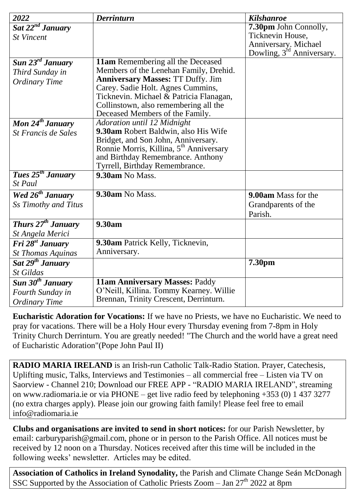| 2022                           | <b>Derrinturn</b>                                                   | <b>Kilshanroe</b>                     |
|--------------------------------|---------------------------------------------------------------------|---------------------------------------|
| Sat 22 <sup>nd</sup> January   |                                                                     | 7.30pm John Connolly,                 |
| <b>St Vincent</b>              |                                                                     | Ticknevin House,                      |
|                                |                                                                     | Anniversary. Michael                  |
|                                |                                                                     | Dowling, 3 <sup>rd</sup> Anniversary. |
| Sun 23 <sup>rd</sup> January   | 11am Remembering all the Deceased                                   |                                       |
| Third Sunday in                | Members of the Lenehan Family, Drehid.                              |                                       |
| <b>Ordinary Time</b>           | <b>Anniversary Masses: TT Duffy. Jim</b>                            |                                       |
|                                | Carey. Sadie Holt. Agnes Cummins,                                   |                                       |
|                                | Ticknevin. Michael & Patricia Flanagan,                             |                                       |
|                                | Collinstown, also remembering all the                               |                                       |
|                                | Deceased Members of the Family.                                     |                                       |
| Mon $24^{th}$ January          | Adoration until 12 Midnight<br>9.30am Robert Baldwin, also His Wife |                                       |
| St Francis de Sales            | Bridget, and Son John, Anniversary.                                 |                                       |
|                                | Ronnie Morris, Killina, 5 <sup>th</sup> Anniversary                 |                                       |
|                                | and Birthday Remembrance. Anthony                                   |                                       |
|                                | Tyrrell, Birthday Remembrance.                                      |                                       |
| Tues 25 <sup>th</sup> January  | 9.30am No Mass.                                                     |                                       |
| St Paul                        |                                                                     |                                       |
| Wed 26 <sup>th</sup> January   | 9.30am No Mass.                                                     | 9.00am Mass for the                   |
| Ss Timothy and Titus           |                                                                     | Grandparents of the                   |
|                                |                                                                     | Parish.                               |
| Thurs 27 <sup>th</sup> January | 9.30am                                                              |                                       |
| St Angela Merici               |                                                                     |                                       |
| Fri 28 <sup>st</sup> January   | 9.30am Patrick Kelly, Ticknevin,                                    |                                       |
| <b>St Thomas Aquinas</b>       | Anniversary.                                                        |                                       |
| Sat 29 <sup>th</sup> January   |                                                                     | 7.30pm                                |
| St Gildas                      |                                                                     |                                       |
| Sun 30 <sup>th</sup> January   | 11am Anniversary Masses: Paddy                                      |                                       |
| Fourth Sunday in               | O'Neill, Killina. Tommy Kearney. Willie                             |                                       |
| <b>Ordinary Time</b>           | Brennan, Trinity Crescent, Derrinturn.                              |                                       |

**Eucharistic Adoration for Vocations:** If we have no Priests, we have no Eucharistic. We need to pray for vacations. There will be a Holy Hour every Thursday evening from 7-8pm in Holy Trinity Church Derrinturn. You are greatly needed! "The Church and the world have a great need of Eucharistic Adoration"(Pope John Paul II)

**RADIO MARIA IRELAND** is an Irish-run Catholic Talk-Radio Station. Prayer, Catechesis, Uplifting music, Talks, Interviews and Testimonies – all commercial free – Listen via TV on Saorview - Channel 210; Download our FREE APP - "RADIO MARIA IRELAND", streaming on [www.radiomaria.ie](http://www.radiomaria.ie/) or via PHONE – get live radio feed by telephoning +353 (0) 1 437 3277 (no extra charges apply). Please join our growing faith family! Please feel free to email inf[o@radiomaria.ie](mailto:info@radiomaria.ie)

**Clubs and organisations are invited to send in short notices:** for our Parish Newsletter, by email: carburyparish@gmail.com, phone or in person to the Parish Office. All notices must be received by 12 noon on a Thursday. Notices received after this time will be included in the following weeks' newsletter. Articles may be edited.

**Association of Catholics in Ireland Synodality,** the Parish and Climate Change Seán McDonagh SSC Supported by the Association of Catholic Priests Zoom – Jan  $27<sup>th</sup> 2022$  at 8pm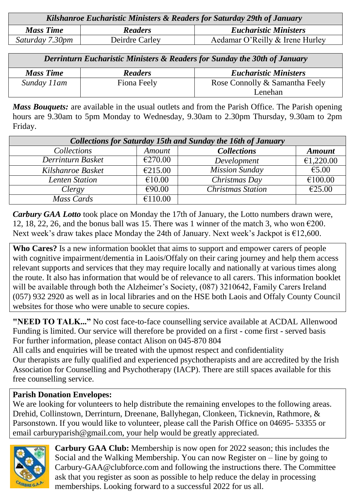| Kilshanroe Eucharistic Ministers & Readers for Saturday 29th of January |                |                                 |  |  |
|-------------------------------------------------------------------------|----------------|---------------------------------|--|--|
| <b>Mass Time</b>                                                        | <b>Readers</b> | <b>Eucharistic Ministers</b>    |  |  |
| Saturday 7.30pm                                                         | Deirdre Carley | Aedamar O'Reilly & Irene Hurley |  |  |

| Derrinturn Eucharistic Ministers & Readers for Sunday the 30th of January |                |                                |  |  |
|---------------------------------------------------------------------------|----------------|--------------------------------|--|--|
| <b>Mass Time</b>                                                          | <b>Readers</b> | <b>Eucharistic Ministers</b>   |  |  |
| Sunday 11 am                                                              | Fiona Feely    | Rose Connolly & Samantha Feely |  |  |
|                                                                           |                | Lenehan                        |  |  |

*Mass Bouquets:* are available in the usual outlets and from the Parish Office. The Parish opening hours are 9.30am to 5pm Monday to Wednesday, 9.30am to 2.30pm Thursday, 9.30am to 2pm Friday.

| <b>Collections for Saturday 15th and Sunday the 16th of January</b> |         |                          |               |  |  |
|---------------------------------------------------------------------|---------|--------------------------|---------------|--|--|
| <i>Collections</i>                                                  | Amount  | <b>Collections</b>       | <b>Amount</b> |  |  |
| Derrinturn Basket                                                   | €270.00 | Development              | €1,220.00     |  |  |
| Kilshanroe Basket                                                   | €215.00 | <b>Mission Sunday</b>    | €5.00         |  |  |
| Lenten Station                                                      | €10.00  | Christmas Day            | €100.00       |  |  |
| Clergy                                                              | €90.00  | <b>Christmas Station</b> | €25.00        |  |  |
| Mass Cards                                                          | €110.00 |                          |               |  |  |

*Carbury GAA Lotto* took place on Monday the 17th of January, the Lotto numbers drawn were, 12, 18, 22, 26, and the bonus ball was 15. There was 1 winner of the match 3, who won  $\epsilon$ 200. Next week's draw takes place Monday the 24th of January. Next week's Jackpot is  $\epsilon$ 12,600.

**Who Cares?** Is a new information booklet that aims to support and empower carers of people with cognitive impairment/dementia in Laois/Offaly on their caring journey and help them access relevant supports and services that they may require locally and nationally at various times along the route. It also has information that would be of relevance to all carers. This information booklet will be available through both the Alzheimer's Society, (087) 3210642, Family Carers Ireland (057) 932 2920 as well as in local libraries and on the HSE both Laois and Offaly County Council websites for those who were unable to secure copies.

**"NEED TO TALK..."** No cost face-to-face counselling service available at ACDAL Allenwood Funding is limited. Our service will therefore be provided on a first - come first - served basis For further information, please contact Alison on 045-870 804

All calls and enquiries will be treated with the upmost respect and confidentiality Our therapists are fully qualified and experienced psychotherapists and are accredited by the Irish Association for Counselling and Psychotherapy (IACP). There are still spaces available for this free counselling service.

## **Parish Donation Envelopes:**

We are looking for volunteers to help distribute the remaining envelopes to the following areas. Drehid, Collinstown, Derrinturn, Dreenane, Ballyhegan, Clonkeen, Ticknevin, Rathmore, & Parsonstown. If you would like to volunteer, please call the Parish Office on 04695- 53355 or email carburyparish@gmail.com, your help would be greatly appreciated.



**Carbury GAA Club:** Membership is now open for 2022 season; this includes the Social and the Walking Membership. You can now Register on – line by going to Carbury-GAA@clubforce.com and following the instructions there. The Committee ask that you register as soon as possible to help reduce the delay in processing memberships. Looking forward to a successful 2022 for us all.